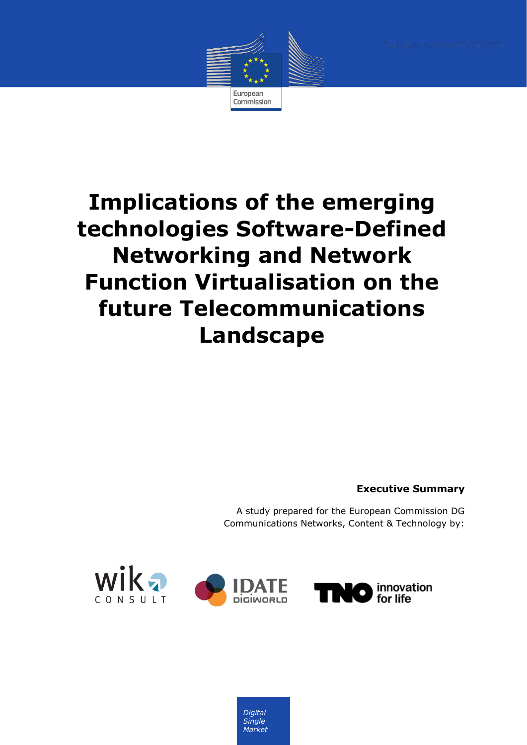

# **Implications of the emerging technologies Software-Defined Networking and Network Function Virtualisation on the future Telecommunications Landscape**

**Executive Summary**

A study prepared for the European Commission DG Communications Networks, Content & Technology by:



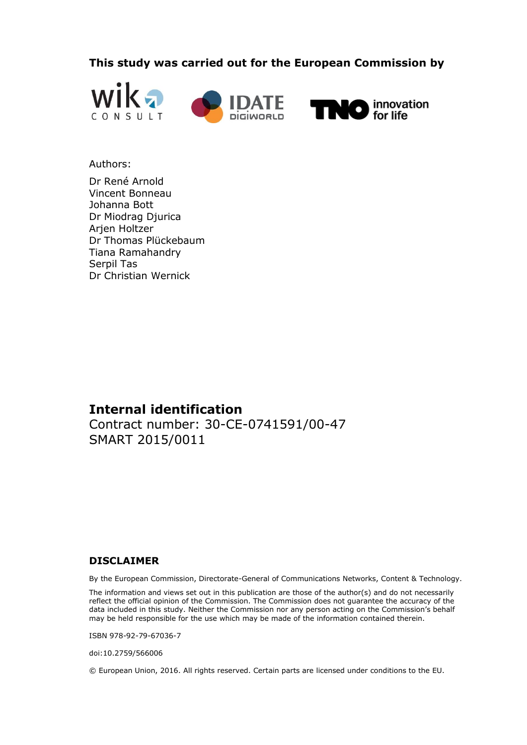**This study was carried out for the European Commission by**



#### Authors:

Dr René Arnold Vincent Bonneau Johanna Bott Dr Miodrag Djurica Arjen Holtzer Dr Thomas Plückebaum Tiana Ramahandry Serpil Tas Dr Christian Wernick

# **Internal identification**

Contract number: 30-CE-0741591/00-47 SMART 2015/0011

## **DISCLAIMER**

By the European Commission, Directorate-General of Communications Networks, Content & Technology.

The information and views set out in this publication are those of the author(s) and do not necessarily reflect the official opinion of the Commission. The Commission does not guarantee the accuracy of the data included in this study. Neither the Commission nor any person acting on the Commission's behalf may be held responsible for the use which may be made of the information contained therein.

ISBN 978-92-79-67036-7

doi:10.2759/566006

© European Union, 2016. All rights reserved. Certain parts are licensed under conditions to the EU.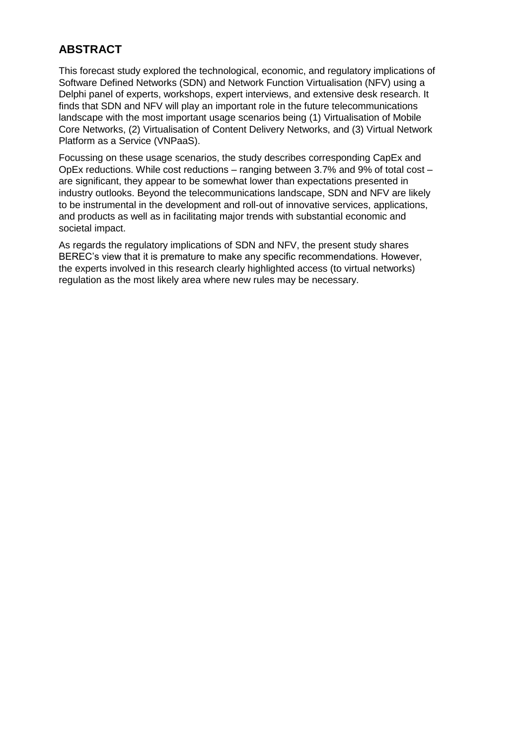# **ABSTRACT**

This forecast study explored the technological, economic, and regulatory implications of Software Defined Networks (SDN) and Network Function Virtualisation (NFV) using a Delphi panel of experts, workshops, expert interviews, and extensive desk research. It finds that SDN and NFV will play an important role in the future telecommunications landscape with the most important usage scenarios being (1) Virtualisation of Mobile Core Networks, (2) Virtualisation of Content Delivery Networks, and (3) Virtual Network Platform as a Service (VNPaaS).

Focussing on these usage scenarios, the study describes corresponding CapEx and OpEx reductions. While cost reductions – ranging between 3.7% and 9% of total cost – are significant, they appear to be somewhat lower than expectations presented in industry outlooks. Beyond the telecommunications landscape, SDN and NFV are likely to be instrumental in the development and roll-out of innovative services, applications, and products as well as in facilitating major trends with substantial economic and societal impact.

As regards the regulatory implications of SDN and NFV, the present study shares BEREC's view that it is premature to make any specific recommendations. However, the experts involved in this research clearly highlighted access (to virtual networks) regulation as the most likely area where new rules may be necessary.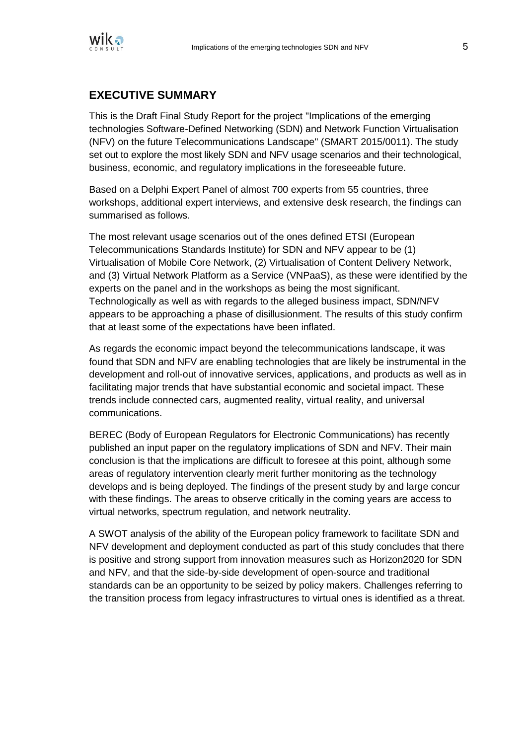

# **EXECUTIVE SUMMARY**

This is the Draft Final Study Report for the project "Implications of the emerging technologies Software-Defined Networking (SDN) and Network Function Virtualisation (NFV) on the future Telecommunications Landscape" (SMART 2015/0011). The study set out to explore the most likely SDN and NFV usage scenarios and their technological, business, economic, and regulatory implications in the foreseeable future.

Based on a Delphi Expert Panel of almost 700 experts from 55 countries, three workshops, additional expert interviews, and extensive desk research, the findings can summarised as follows.

The most relevant usage scenarios out of the ones defined ETSI (European Telecommunications Standards Institute) for SDN and NFV appear to be (1) Virtualisation of Mobile Core Network, (2) Virtualisation of Content Delivery Network, and (3) Virtual Network Platform as a Service (VNPaaS), as these were identified by the experts on the panel and in the workshops as being the most significant. Technologically as well as with regards to the alleged business impact, SDN/NFV appears to be approaching a phase of disillusionment. The results of this study confirm that at least some of the expectations have been inflated.

As regards the economic impact beyond the telecommunications landscape, it was found that SDN and NFV are enabling technologies that are likely be instrumental in the development and roll-out of innovative services, applications, and products as well as in facilitating major trends that have substantial economic and societal impact. These trends include connected cars, augmented reality, virtual reality, and universal communications.

BEREC (Body of European Regulators for Electronic Communications) has recently published an input paper on the regulatory implications of SDN and NFV. Their main conclusion is that the implications are difficult to foresee at this point, although some areas of regulatory intervention clearly merit further monitoring as the technology develops and is being deployed. The findings of the present study by and large concur with these findings. The areas to observe critically in the coming years are access to virtual networks, spectrum regulation, and network neutrality.

A SWOT analysis of the ability of the European policy framework to facilitate SDN and NFV development and deployment conducted as part of this study concludes that there is positive and strong support from innovation measures such as Horizon2020 for SDN and NFV, and that the side-by-side development of open-source and traditional standards can be an opportunity to be seized by policy makers. Challenges referring to the transition process from legacy infrastructures to virtual ones is identified as a threat.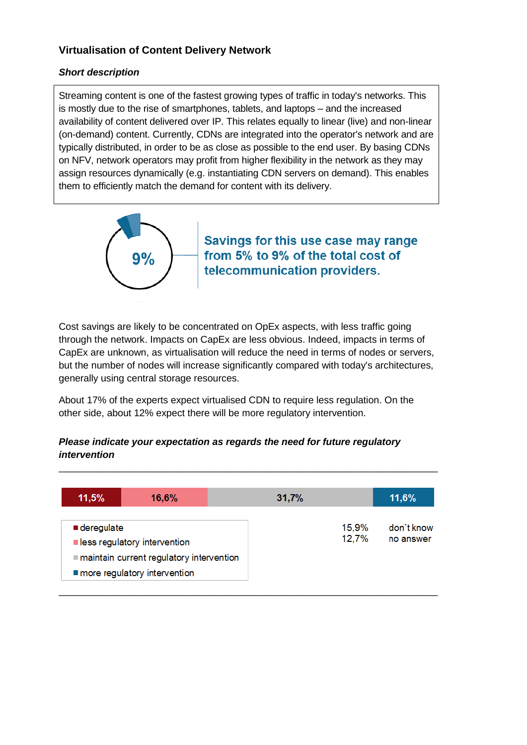# **Virtualisation of Content Delivery Network**

## *Short description*

Streaming content is one of the fastest growing types of traffic in today's networks. This is mostly due to the rise of smartphones, tablets, and laptops – and the increased availability of content delivered over IP. This relates equally to linear (live) and non-linear (on-demand) content. Currently, CDNs are integrated into the operator's network and are typically distributed, in order to be as close as possible to the end user. By basing CDNs on NFV, network operators may profit from higher flexibility in the network as they may assign resources dynamically (e.g. instantiating CDN servers on demand). This enables them to efficiently match the demand for content with its delivery.



Savings for this use case may range from 5% to 9% of the total cost of telecommunication providers.

Cost savings are likely to be concentrated on OpEx aspects, with less traffic going through the network. Impacts on CapEx are less obvious. Indeed, impacts in terms of CapEx are unknown, as virtualisation will reduce the need in terms of nodes or servers, but the number of nodes will increase significantly compared with today's architectures, generally using central storage resources.

About 17% of the experts expect virtualised CDN to require less regulation. On the other side, about 12% expect there will be more regulatory intervention.

#### *Please indicate your expectation as regards the need for future regulatory intervention*

| 11,5%                     | 16,6%                                                                                                    | 31,7%          | 11,6%                   |
|---------------------------|----------------------------------------------------------------------------------------------------------|----------------|-------------------------|
| $\blacksquare$ deregulate | less regulatory intervention<br>maintain current regulatory intervention<br>more regulatory intervention | 15,9%<br>12,7% | don't know<br>no answer |

\_\_\_\_\_\_\_\_\_\_\_\_\_\_\_\_\_\_\_\_\_\_\_\_\_\_\_\_\_\_\_\_\_\_\_\_\_\_\_\_\_\_\_\_\_\_\_\_\_\_\_\_\_\_\_\_\_\_\_\_\_\_\_\_\_\_\_\_\_\_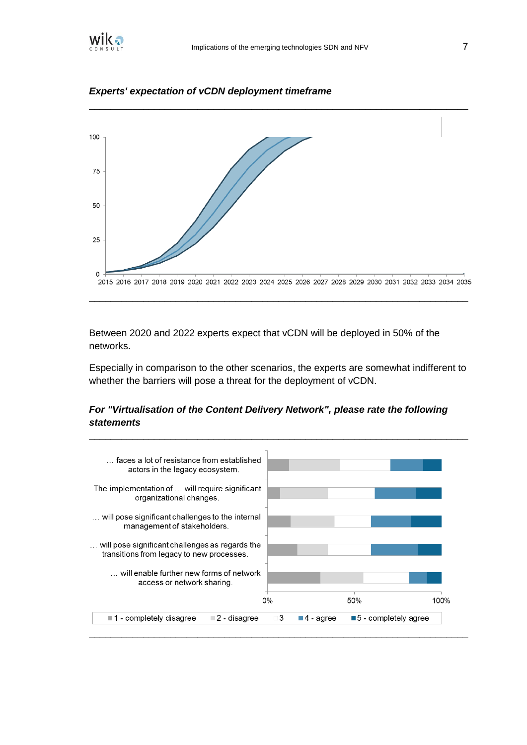

\_\_\_\_\_\_\_\_\_\_\_\_\_\_\_\_\_\_\_\_\_\_\_\_\_\_\_\_\_\_\_\_\_\_\_\_\_\_\_\_\_\_\_\_\_\_\_\_\_\_\_\_\_\_\_\_\_\_\_\_\_\_\_\_\_\_\_\_\_\_



*Experts' expectation of vCDN deployment timeframe*

Between 2020 and 2022 experts expect that vCDN will be deployed in 50% of the networks.

Especially in comparison to the other scenarios, the experts are somewhat indifferent to whether the barriers will pose a threat for the deployment of vCDN.

\_\_\_\_\_\_\_\_\_\_\_\_\_\_\_\_\_\_\_\_\_\_\_\_\_\_\_\_\_\_\_\_\_\_\_\_\_\_\_\_\_\_\_\_\_\_\_\_\_\_\_\_\_\_\_\_\_\_\_\_\_\_\_\_\_\_\_\_\_\_

## *For "Virtualisation of the Content Delivery Network", please rate the following statements*

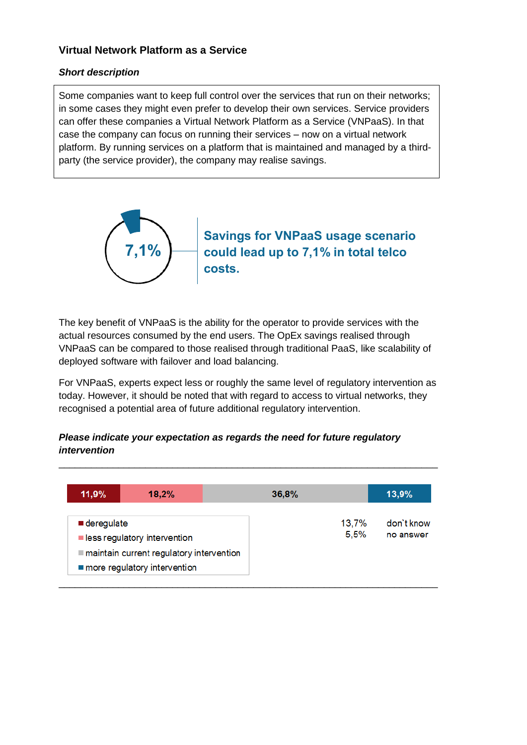## **Virtual Network Platform as a Service**

#### *Short description*

Some companies want to keep full control over the services that run on their networks; in some cases they might even prefer to develop their own services. Service providers can offer these companies a Virtual Network Platform as a Service (VNPaaS). In that case the company can focus on running their services – now on a virtual network platform. By running services on a platform that is maintained and managed by a thirdparty (the service provider), the company may realise savings.



The key benefit of VNPaaS is the ability for the operator to provide services with the actual resources consumed by the end users. The OpEx savings realised through VNPaaS can be compared to those realised through traditional PaaS, like scalability of deployed software with failover and load balancing.

For VNPaaS, experts expect less or roughly the same level of regulatory intervention as today. However, it should be noted that with regard to access to virtual networks, they recognised a potential area of future additional regulatory intervention.

## *Please indicate your expectation as regards the need for future regulatory intervention*

| 11,9%                                                                                     | 18,2%                                    | 36,8%         | 13,9%                   |
|-------------------------------------------------------------------------------------------|------------------------------------------|---------------|-------------------------|
| $\blacksquare$ deregulate<br>less regulatory intervention<br>more regulatory intervention | maintain current regulatory intervention | 13,7%<br>5,5% | don't know<br>no answer |

\_\_\_\_\_\_\_\_\_\_\_\_\_\_\_\_\_\_\_\_\_\_\_\_\_\_\_\_\_\_\_\_\_\_\_\_\_\_\_\_\_\_\_\_\_\_\_\_\_\_\_\_\_\_\_\_\_\_\_\_\_\_\_\_\_\_\_\_\_\_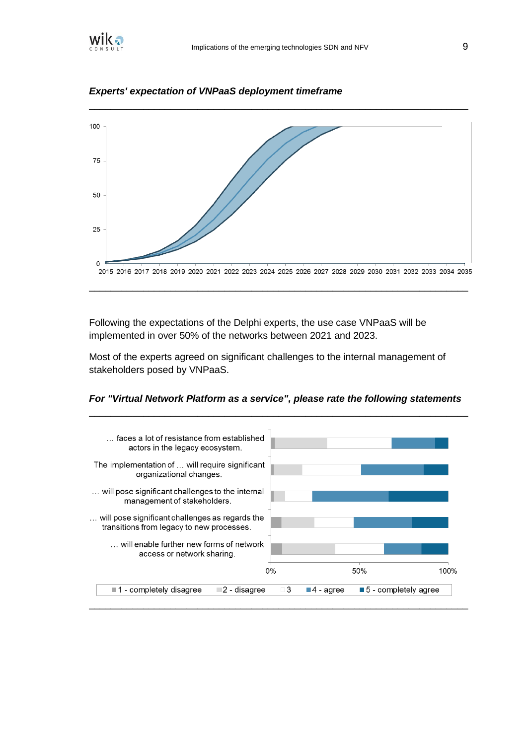



\_\_\_\_\_\_\_\_\_\_\_\_\_\_\_\_\_\_\_\_\_\_\_\_\_\_\_\_\_\_\_\_\_\_\_\_\_\_\_\_\_\_\_\_\_\_\_\_\_\_\_\_\_\_\_\_\_\_\_\_\_\_\_\_\_\_\_\_\_\_

*Experts' expectation of VNPaaS deployment timeframe*

Following the expectations of the Delphi experts, the use case VNPaaS will be implemented in over 50% of the networks between 2021 and 2023.

Most of the experts agreed on significant challenges to the internal management of stakeholders posed by VNPaaS.



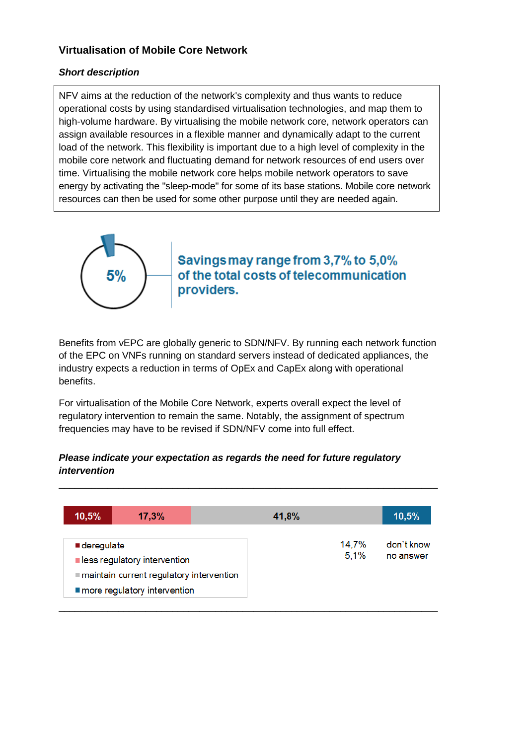## **Virtualisation of Mobile Core Network**

#### *Short description*

NFV aims at the reduction of the network's complexity and thus wants to reduce operational costs by using standardised virtualisation technologies, and map them to high-volume hardware. By virtualising the mobile network core, network operators can assign available resources in a flexible manner and dynamically adapt to the current load of the network. This flexibility is important due to a high level of complexity in the mobile core network and fluctuating demand for network resources of end users over time. Virtualising the mobile network core helps mobile network operators to save energy by activating the "sleep-mode" for some of its base stations. Mobile core network resources can then be used for some other purpose until they are needed again.



Savings may range from 3,7% to 5,0% of the total costs of telecommunication providers.

Benefits from vEPC are globally generic to SDN/NFV. By running each network function of the EPC on VNFs running on standard servers instead of dedicated appliances, the industry expects a reduction in terms of OpEx and CapEx along with operational benefits.

For virtualisation of the Mobile Core Network, experts overall expect the level of regulatory intervention to remain the same. Notably, the assignment of spectrum frequencies may have to be revised if SDN/NFV come into full effect.

#### *Please indicate your expectation as regards the need for future regulatory intervention*

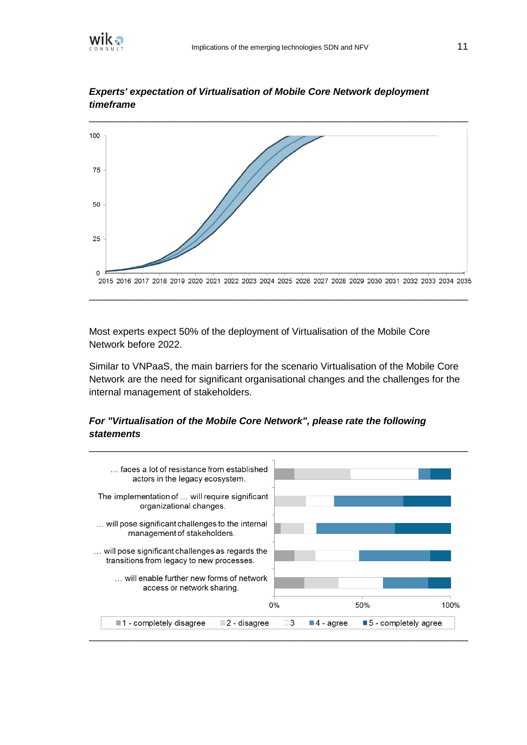



*Experts' expectation of Virtualisation of Mobile Core Network deployment timeframe*

Most experts expect 50% of the deployment of Virtualisation of the Mobile Core Network before 2022.

Similar to VNPaaS, the main barriers for the scenario Virtualisation of the Mobile Core Network are the need for significant organisational changes and the challenges for the internal management of stakeholders.

\_\_\_\_\_\_\_\_\_\_\_\_\_\_\_\_\_\_\_\_\_\_\_\_\_\_\_\_\_\_\_\_\_\_\_\_\_\_\_\_\_\_\_\_\_\_\_\_\_\_\_\_\_\_\_\_\_\_\_\_\_\_\_\_\_\_\_\_\_\_

## *For "Virtualisation of the Mobile Core Network", please rate the following statements*

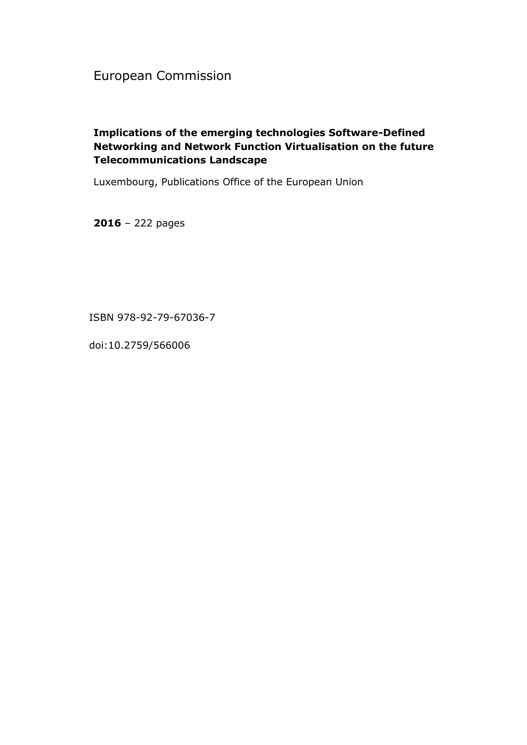European Commission

# **Implications of the emerging technologies Software-Defined Networking and Network Function Virtualisation on the future Telecommunications Landscape**

Luxembourg, Publications Office of the European Union

**2016** – 222 pages

ISBN 978-92-79-67036-7

doi:10.2759/566006